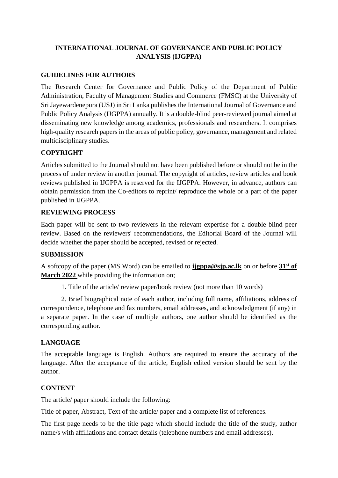# **INTERNATIONAL JOURNAL OF GOVERNANCE AND PUBLIC POLICY ANALYSIS (IJGPPA)**

### **GUIDELINES FOR AUTHORS**

The Research Center for Governance and Public Policy of the Department of Public Administration, Faculty of Management Studies and Commerce (FMSC) at the University of Sri Jayewardenepura (USJ) in Sri Lanka publishes the International Journal of Governance and Public Policy Analysis (IJGPPA) annually. It is a double-blind peer-reviewed journal aimed at disseminating new knowledge among academics, professionals and researchers. It comprises high-quality research papers in the areas of public policy, governance, management and related multidisciplinary studies.

### **COPYRIGHT**

Articles submitted to the Journal should not have been published before or should not be in the process of under review in another journal. The copyright of articles, review articles and book reviews published in IJGPPA is reserved for the IJGPPA. However, in advance, authors can obtain permission from the Co-editors to reprint/ reproduce the whole or a part of the paper published in IJGPPA.

#### **REVIEWING PROCESS**

Each paper will be sent to two reviewers in the relevant expertise for a double-blind peer review. Based on the reviewers' recommendations, the Editorial Board of the Journal will decide whether the paper should be accepted, revised or rejected.

#### **SUBMISSION**

A softcopy of the paper (MS Word) can be emailed to **ijgppa@sjp.ac.lk** on or before **31st of March 2022** while providing the information on;

1. Title of the article/ review paper/book review (not more than 10 words)

2. Brief biographical note of each author, including full name, affiliations, address of correspondence, telephone and fax numbers, email addresses, and acknowledgment (if any) in a separate paper. In the case of multiple authors, one author should be identified as the corresponding author.

#### **LANGUAGE**

The acceptable language is English. Authors are required to ensure the accuracy of the language. After the acceptance of the article, English edited version should be sent by the author.

#### **CONTENT**

The article/ paper should include the following:

Title of paper, Abstract, Text of the article/ paper and a complete list of references.

The first page needs to be the title page which should include the title of the study, author name/s with affiliations and contact details (telephone numbers and email addresses).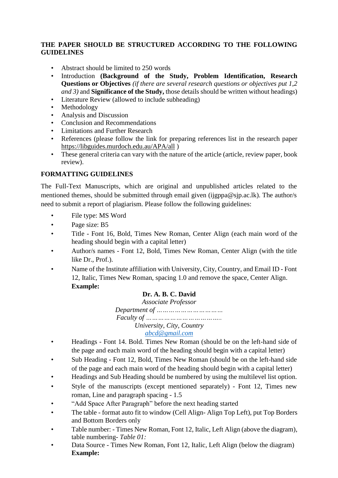### **THE PAPER SHOULD BE STRUCTURED ACCORDING TO THE FOLLOWING GUIDELINES**

- Abstract should be limited to 250 words
- Introduction **(Background of the Study, Problem Identification, Research Questions or Objectives** *(if there are several research questions or objectives put 1,2 and 3)* and **Significance of the Study,** those details should be written without headings)
- Literature Review (allowed to include subheading)
- Methodology
- Analysis and Discussion
- Conclusion and Recommendations
- Limitations and Further Research
- References (please follow the link for preparing references list in the research paper <https://libguides.murdoch.edu.au/APA/all> )
- These general criteria can vary with the nature of the article (article, review paper, book review).

# **FORMATTING GUIDELINES**

The Full-Text Manuscripts, which are original and unpublished articles related to the mentioned themes, should be submitted through email given (ijgppa@sjp.ac.lk). The author/s need to submit a report of plagiarism. Please follow the following guidelines:

- File type: MS Word
- Page size: B5
- Title Font 16, Bold, Times New Roman, Center Align (each main word of the heading should begin with a capital letter)
- Author/s names Font 12, Bold, Times New Roman, Center Align (with the title like Dr., Prof.).
- Name of the Institute affiliation with University, City, Country, and Email ID Font 12, Italic, Times New Roman, spacing 1.0 and remove the space, Center Align. **Example:**

# **Dr. A. B. C. David**

*Associate Professor Department of …………………………… Faculty of ……………………………….. University, City, Country [abcd@gmail.com](mailto:abcd@gmail.com)*

- Headings Font 14. Bold. Times New Roman (should be on the left-hand side of the page and each main word of the heading should begin with a capital letter)
- Sub Heading Font 12, Bold, Times New Roman (should be on the left-hand side of the page and each main word of the heading should begin with a capital letter)
- Headings and Sub Heading should be numbered by using the multilevel list option.
- Style of the manuscripts (except mentioned separately) Font 12, Times new roman, Line and paragraph spacing - 1.5
- "Add Space After Paragraph" before the next heading started
- The table format auto fit to window (Cell Align-Align Top Left), put Top Borders and Bottom Borders only
- Table number: Times New Roman, Font 12, Italic, Left Align (above the diagram), table numbering- *Table 01:*
- Data Source Times New Roman, Font 12, Italic, Left Align (below the diagram) **Example:**